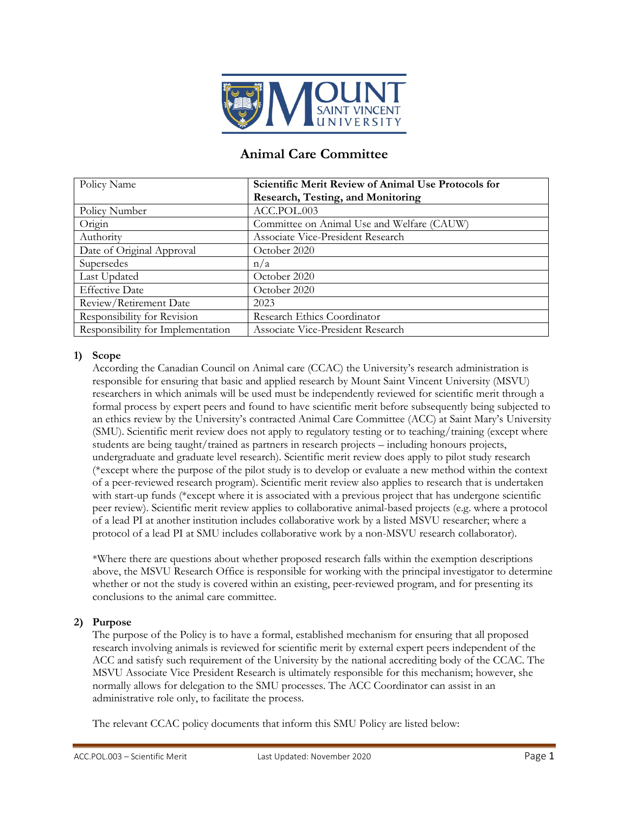

# **Animal Care Committee**

| Policy Name                       | Scientific Merit Review of Animal Use Protocols for |
|-----------------------------------|-----------------------------------------------------|
|                                   | Research, Testing, and Monitoring                   |
| Policy Number                     | ACC.POL.003                                         |
| Origin                            | Committee on Animal Use and Welfare (CAUW)          |
| Authority                         | Associate Vice-President Research                   |
| Date of Original Approval         | October 2020                                        |
| Supersedes                        | n/a                                                 |
| Last Updated                      | October 2020                                        |
| <b>Effective Date</b>             | October 2020                                        |
| Review/Retirement Date            | 2023                                                |
| Responsibility for Revision       | Research Ethics Coordinator                         |
| Responsibility for Implementation | Associate Vice-President Research                   |

### **1) Scope**

According the Canadian Council on Animal care (CCAC) the University's research administration is responsible for ensuring that basic and applied research by Mount Saint Vincent University (MSVU) researchers in which animals will be used must be independently reviewed for scientific merit through a formal process by expert peers and found to have scientific merit before subsequently being subjected to an ethics review by the University's contracted Animal Care Committee (ACC) at Saint Mary's University (SMU). Scientific merit review does not apply to regulatory testing or to teaching/training (except where students are being taught/trained as partners in research projects – including honours projects, undergraduate and graduate level research). Scientific merit review does apply to pilot study research (\*except where the purpose of the pilot study is to develop or evaluate a new method within the context of a peer-reviewed research program). Scientific merit review also applies to research that is undertaken with start-up funds (\*except where it is associated with a previous project that has undergone scientific peer review). Scientific merit review applies to collaborative animal-based projects (e.g. where a protocol of a lead PI at another institution includes collaborative work by a listed MSVU researcher; where a protocol of a lead PI at SMU includes collaborative work by a non-MSVU research collaborator).

\*Where there are questions about whether proposed research falls within the exemption descriptions above, the MSVU Research Office is responsible for working with the principal investigator to determine whether or not the study is covered within an existing, peer-reviewed program, and for presenting its conclusions to the animal care committee.

## **2) Purpose**

The purpose of the Policy is to have a formal, established mechanism for ensuring that all proposed research involving animals is reviewed for scientific merit by external expert peers independent of the ACC and satisfy such requirement of the University by the national accrediting body of the CCAC. The MSVU Associate Vice President Research is ultimately responsible for this mechanism; however, she normally allows for delegation to the SMU processes. The ACC Coordinator can assist in an administrative role only, to facilitate the process.

The relevant CCAC policy documents that inform this SMU Policy are listed below: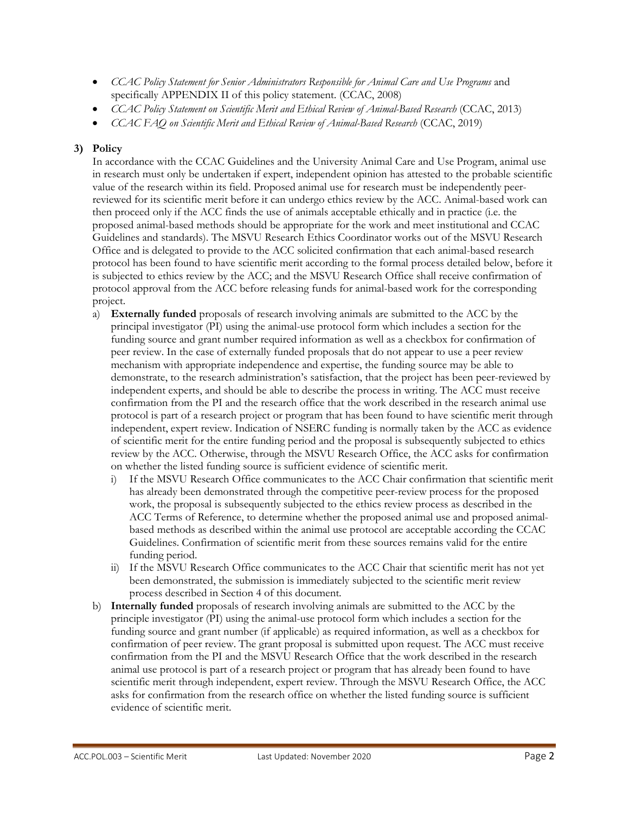- *CCAC Policy Statement for Senior Administrators Responsible for Animal Care and Use Programs* and specifically APPENDIX II of this policy statement. (CCAC, 2008)
- *CCAC Policy Statement on Scientific Merit and Ethical Review of Animal-Based Research* (CCAC, 2013)
- *CCAC FAQ on Scientific Merit and Ethical Review of Animal-Based Research* (CCAC, 2019)

### **3) Policy**

In accordance with the CCAC Guidelines and the University Animal Care and Use Program, animal use in research must only be undertaken if expert, independent opinion has attested to the probable scientific value of the research within its field. Proposed animal use for research must be independently peerreviewed for its scientific merit before it can undergo ethics review by the ACC. Animal-based work can then proceed only if the ACC finds the use of animals acceptable ethically and in practice (i.e. the proposed animal-based methods should be appropriate for the work and meet institutional and CCAC Guidelines and standards). The MSVU Research Ethics Coordinator works out of the MSVU Research Office and is delegated to provide to the ACC solicited confirmation that each animal-based research protocol has been found to have scientific merit according to the formal process detailed below, before it is subjected to ethics review by the ACC; and the MSVU Research Office shall receive confirmation of protocol approval from the ACC before releasing funds for animal-based work for the corresponding project.

- a) **Externally funded** proposals of research involving animals are submitted to the ACC by the principal investigator (PI) using the animal-use protocol form which includes a section for the funding source and grant number required information as well as a checkbox for confirmation of peer review. In the case of externally funded proposals that do not appear to use a peer review mechanism with appropriate independence and expertise, the funding source may be able to demonstrate, to the research administration's satisfaction, that the project has been peer-reviewed by independent experts, and should be able to describe the process in writing. The ACC must receive confirmation from the PI and the research office that the work described in the research animal use protocol is part of a research project or program that has been found to have scientific merit through independent, expert review. Indication of NSERC funding is normally taken by the ACC as evidence of scientific merit for the entire funding period and the proposal is subsequently subjected to ethics review by the ACC. Otherwise, through the MSVU Research Office, the ACC asks for confirmation on whether the listed funding source is sufficient evidence of scientific merit.
	- i) If the MSVU Research Office communicates to the ACC Chair confirmation that scientific merit has already been demonstrated through the competitive peer-review process for the proposed work, the proposal is subsequently subjected to the ethics review process as described in the ACC Terms of Reference, to determine whether the proposed animal use and proposed animalbased methods as described within the animal use protocol are acceptable according the CCAC Guidelines. Confirmation of scientific merit from these sources remains valid for the entire funding period.
	- ii) If the MSVU Research Office communicates to the ACC Chair that scientific merit has not yet been demonstrated, the submission is immediately subjected to the scientific merit review process described in Section 4 of this document.
- b) **Internally funded** proposals of research involving animals are submitted to the ACC by the principle investigator (PI) using the animal-use protocol form which includes a section for the funding source and grant number (if applicable) as required information, as well as a checkbox for confirmation of peer review. The grant proposal is submitted upon request. The ACC must receive confirmation from the PI and the MSVU Research Office that the work described in the research animal use protocol is part of a research project or program that has already been found to have scientific merit through independent, expert review. Through the MSVU Research Office, the ACC asks for confirmation from the research office on whether the listed funding source is sufficient evidence of scientific merit.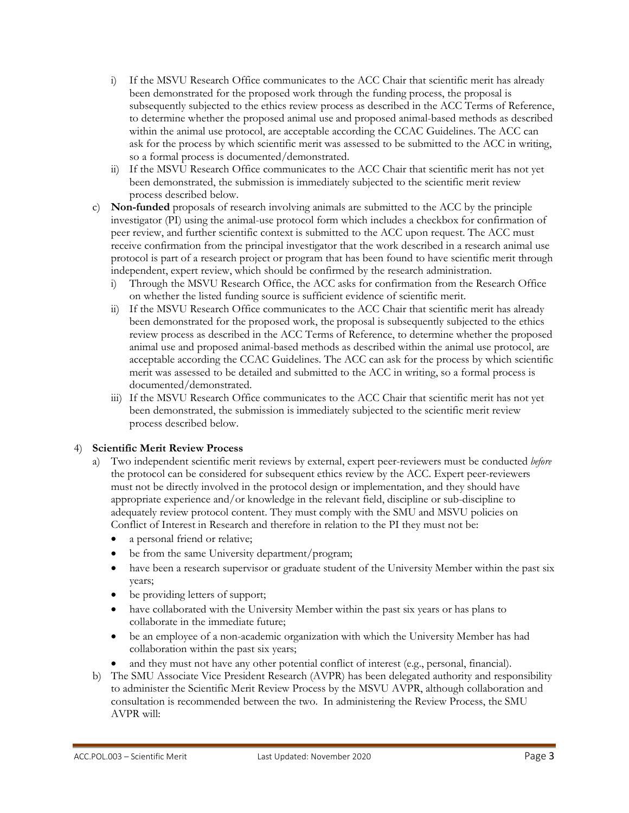- i) If the MSVU Research Office communicates to the ACC Chair that scientific merit has already been demonstrated for the proposed work through the funding process, the proposal is subsequently subjected to the ethics review process as described in the ACC Terms of Reference, to determine whether the proposed animal use and proposed animal-based methods as described within the animal use protocol, are acceptable according the CCAC Guidelines. The ACC can ask for the process by which scientific merit was assessed to be submitted to the ACC in writing, so a formal process is documented/demonstrated.
- ii) If the MSVU Research Office communicates to the ACC Chair that scientific merit has not yet been demonstrated, the submission is immediately subjected to the scientific merit review process described below.
- c) **Non-funded** proposals of research involving animals are submitted to the ACC by the principle investigator (PI) using the animal-use protocol form which includes a checkbox for confirmation of peer review, and further scientific context is submitted to the ACC upon request. The ACC must receive confirmation from the principal investigator that the work described in a research animal use protocol is part of a research project or program that has been found to have scientific merit through independent, expert review, which should be confirmed by the research administration.
	- i) Through the MSVU Research Office, the ACC asks for confirmation from the Research Office on whether the listed funding source is sufficient evidence of scientific merit.
	- ii) If the MSVU Research Office communicates to the ACC Chair that scientific merit has already been demonstrated for the proposed work, the proposal is subsequently subjected to the ethics review process as described in the ACC Terms of Reference, to determine whether the proposed animal use and proposed animal-based methods as described within the animal use protocol, are acceptable according the CCAC Guidelines. The ACC can ask for the process by which scientific merit was assessed to be detailed and submitted to the ACC in writing, so a formal process is documented/demonstrated.
	- iii) If the MSVU Research Office communicates to the ACC Chair that scientific merit has not yet been demonstrated, the submission is immediately subjected to the scientific merit review process described below.

## 4) **Scientific Merit Review Process**

- a) Two independent scientific merit reviews by external, expert peer-reviewers must be conducted *before*  the protocol can be considered for subsequent ethics review by the ACC. Expert peer-reviewers must not be directly involved in the protocol design or implementation, and they should have appropriate experience and/or knowledge in the relevant field, discipline or sub-discipline to adequately review protocol content. They must comply with the SMU and MSVU policies on Conflict of Interest in Research and therefore in relation to the PI they must not be:
	- a personal friend or relative;
	- be from the same University department/program;
	- have been a research supervisor or graduate student of the University Member within the past six years;
	- be providing letters of support;
	- have collaborated with the University Member within the past six years or has plans to collaborate in the immediate future;
	- be an employee of a non-academic organization with which the University Member has had collaboration within the past six years;
	- and they must not have any other potential conflict of interest (e.g., personal, financial).
- b) The SMU Associate Vice President Research (AVPR) has been delegated authority and responsibility to administer the Scientific Merit Review Process by the MSVU AVPR, although collaboration and consultation is recommended between the two. In administering the Review Process, the SMU AVPR will: